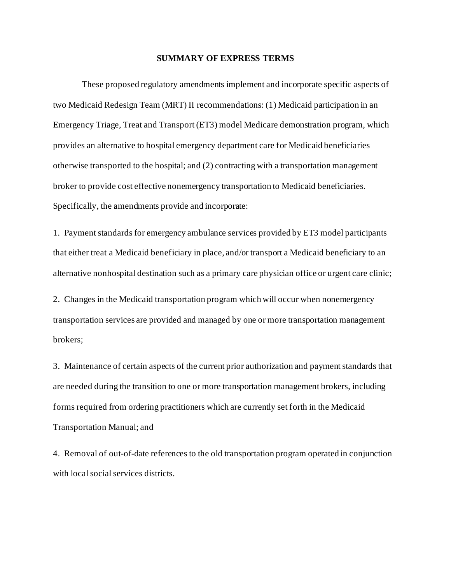#### **SUMMARY OF EXPRESS TERMS**

 Emergency Triage, Treat and Transport (ET3) model Medicare demonstration program, which otherwise transported to the hospital; and (2) contracting with a transportation management Specifically, the amendments provide and incorporate: These proposed regulatory amendments implement and incorporate specific aspects of two Medicaid Redesign Team (MRT) II recommendations: (1) Medicaid participation in an provides an alternative to hospital emergency department care for Medicaid beneficiaries broker to provide cost effective nonemergency transportation to Medicaid beneficiaries.

 1. Payment standards for emergency ambulance services provided by ET3 model participants that either treat a Medicaid beneficiary in place, and/or transport a Medicaid beneficiary to an alternative nonhospital destination such as a primary care physician office or urgent care clinic;

2. Changes in the Medicaid transportation program which will occur when nonemergency transportation services are provided and managed by one or more transportation management brokers;

 3. Maintenance of certain aspects of the current prior authorization and payment standards that are needed during the transition to one or more transportation management brokers, including forms required from ordering practitioners which are currently set forth in the Medicaid Transportation Manual; and

 4. Removal of out-of-date references to the old transportation program operated in conjunction with local social services districts.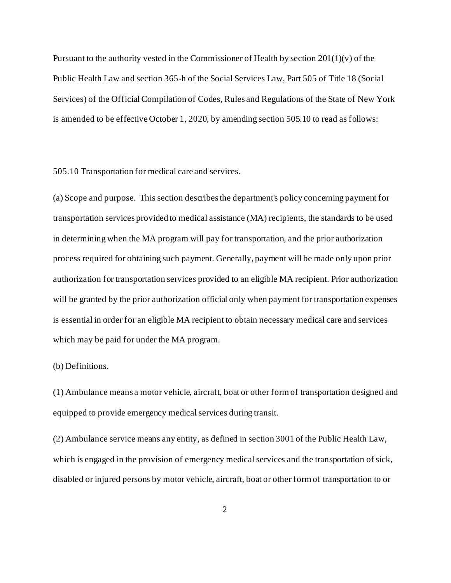Public Health Law and section 365-h of the Social Services Law, Part 505 of Title 18 (Social is amended to be effective October 1, 2020, by amending section 505.10 to read as follows: Pursuant to the authority vested in the Commissioner of Health by section  $201(1)(v)$  of the Services) of the Official Compilation of Codes, Rules and Regulations of the State of New York

505.10 Transportation for medical care and services.

 (a) Scope and purpose. This section describes the department's policy concerning payment for transportation services provided to medical assistance (MA) recipients, the standards to be used in determining when the MA program will pay for transportation, and the prior authorization process required for obtaining such payment. Generally, payment will be made only upon prior authorization for transportation services provided to an eligible MA recipient. Prior authorization will be granted by the prior authorization official only when payment for transportation expenses is essential in order for an eligible MA recipient to obtain necessary medical care and services which may be paid for under the MA program.

(b) Definitions.

(1) Ambulance means a motor vehicle, aircraft, boat or other form of transportation designed and equipped to provide emergency medical services during transit.

(2) Ambulance service means any entity, as defined in section 3001 of the Public Health Law, which is engaged in the provision of emergency medical services and the transportation of sick, disabled or injured persons by motor vehicle, aircraft, boat or other form of transportation to or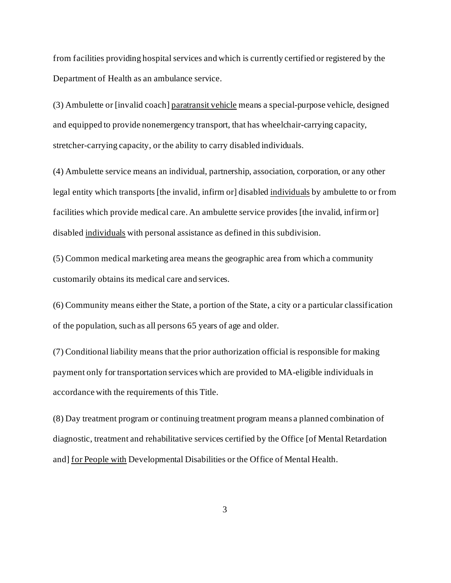from facilities providing hospital services and which is currently certified or registered by the Department of Health as an ambulance service.

(3) Ambulette or [invalid coach] paratransit vehicle means a special-purpose vehicle, designed and equipped to provide nonemergency transport, that has wheelchair-carrying capacity, stretcher-carrying capacity, or the ability to carry disabled individuals.

legal entity which transports [the invalid, infirm or] disabled individuals by ambulette to or from disabled individuals with personal assistance as defined in this subdivision. (4) Ambulette service means an individual, partnership, association, corporation, or any other facilities which provide medical care. An ambulette service provides [the invalid, infirm or]

 $\delta$ ) Common medical marketing area means the geographic area from which a community customarily obtains its medical care and services.

(6) Community means either the State, a portion of the State, a city or a particular classification of the population, such as all persons 65 years of age and older.

(7) Conditional liability means that the prior authorization official is responsible for making payment only for transportation services which are provided to MA-eligible individuals in accordance with the requirements of this Title.

and] for People with Developmental Disabilities or the Office of Mental Health. (8) Day treatment program or continuing treatment program means a planned combination of diagnostic, treatment and rehabilitative services certified by the Office [of Mental Retardation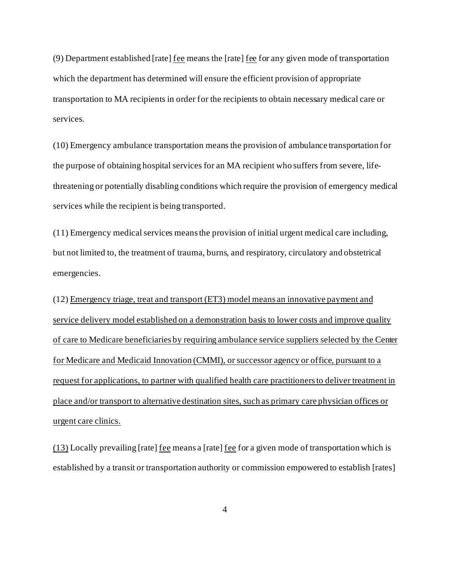(9) Department established [rate] fee means the [rate] fee for any given mode of transportation which the department has determined will ensure the efficient provision of appropriate transportation to MA recipients in order for the recipients to obtain necessary medical care or services.

(10) Emergency ambulance transportation means the provision of ambulance transportation for the purpose of obtaining hospital services for an MA recipient who suffers from severe, lifethreatening or potentially disabling conditions which require the provision of emergency medical services while the recipient is being transported.

 (11) Emergency medical services meansthe provision of initial urgent medical care including, but not limited to, the treatment of trauma, burns, and respiratory, circulatory and obstetrical emergencies.

(12) Emergency triage, treat and transport (ET3) model means an innovative payment and service delivery model established on a demonstration basis to lower costs and improve quality of care to Medicare beneficiaries by requiring ambulance service suppliers selected by the Center for Medicare and Medicaid Innovation (CMMI), or successor agency or office, pursuant to a request for applications, to partner with qualified health care practitioners to deliver treatment in place and/or transport to alternative destination sites, such as primary care physician offices or urgent care clinics.

(13) Locally prevailing [rate] fee means a [rate] fee for a given mode of transportation which is established by a transit or transportation authority or commission empowered to establish [rates]

4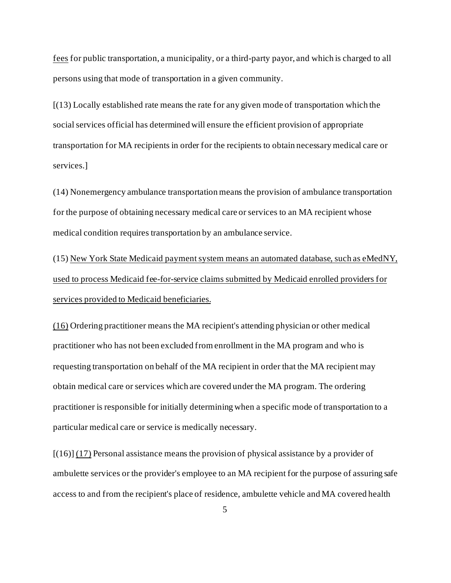fees for public transportation, a municipality, or a third-party payor, and which is charged to all persons using that mode of transportation in a given community.

[(13) Locally established rate means the rate for any given mode of transportation which the social services official has determined will ensure the efficient provision of appropriate transportation for MA recipients in order for the recipients to obtain necessary medical care or services.]

(14) Nonemergency ambulance transportation means the provision of ambulance transportation for the purpose of obtaining necessary medical care or services to an MA recipient whose medical condition requires transportation by an ambulance service.

(15) New York State Medicaid payment system means an automated database, such as eMedNY, used to process Medicaid fee-for-service claims submitted by Medicaid enrolled providers for services provided to Medicaid beneficiaries.

(16) Ordering practitioner means the MA recipient's attending physician or other medical practitioner who has not been excluded from enrollment in the MA program and who is requesting transportation on behalf of the MA recipient in order that the MA recipient may obtain medical care or services which are covered under the MA program. The ordering practitioner is responsible for initially determining when a specific mode of transportation to a particular medical care or service is medically necessary.

[(16)] (17) Personal assistance means the provision of physical assistance by a provider of ambulette services or the provider's employee to an MA recipient for the purpose of assuring safe access to and from the recipient's place of residence, ambulette vehicle and MA covered health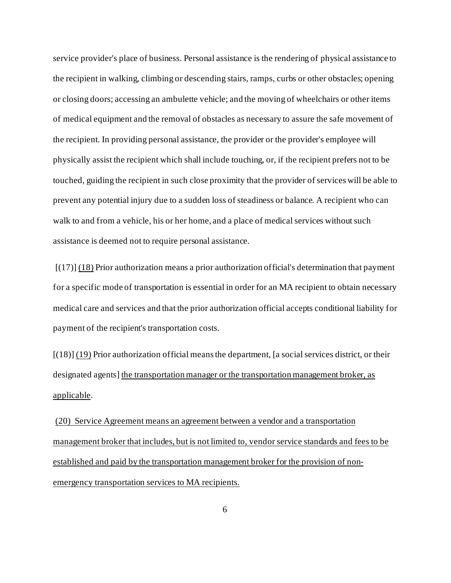service provider's place of business. Personal assistance is the rendering of physical assistance to the recipient in walking, climbing or descending stairs, ramps, curbs or other obstacles; opening or closing doors; accessing an ambulette vehicle; and the moving of wheelchairs or other items of medical equipment and the removal of obstacles as necessary to assure the safe movement of the recipient. In providing personal assistance, the provider or the provider's employee will physically assist the recipient which shall include touching, or, if the recipient prefers not to be touched, guiding the recipient in such close proximity that the provider of services will be able to prevent any potential injury due to a sudden loss of steadiness or balance. A recipient who can walk to and from a vehicle, his or her home, and a place of medical services without such assistance is deemed not to require personal assistance.

 $[(17)]$   $(18)$  Prior authorization means a prior authorization official's determination that payment for a specific mode of transportation is essential in order for an MA recipient to obtain necessary medical care and services and that the prior authorization official accepts conditional liability for payment of the recipient's transportation costs.

[(18)] (19) Prior authorization official means the department, [a social services district, or their designated agents] the transportation manager or the transportation management broker, as applicable.

 (20) Service Agreement means an agreement between a vendor and a transportation management broker that includes, but is not limited to, vendor service standards and fees to be established and paid by the transportation management broker for the provision of nonemergency transportation services to MA recipients.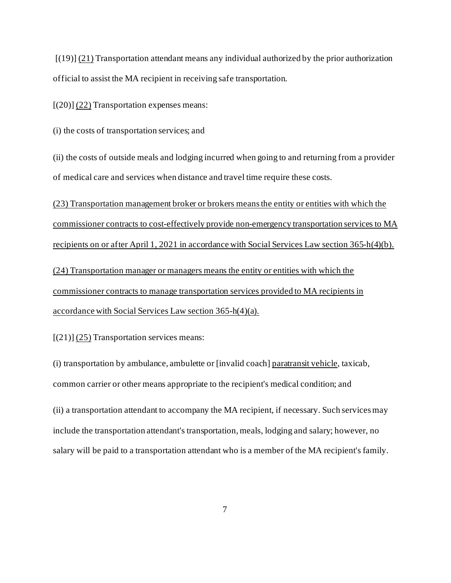$[(19)]$   $(21)$  Transportation attendant means any individual authorized by the prior authorization official to assist the MA recipient in receiving safe transportation.

 $[(20)]$   $(22)$  Transportation expenses means:

(i) the costs of transportation services; and

(ii) the costs of outside meals and lodging incurred when going to and returning from a provider of medical care and services when distance and travel time require these costs.

(23) Transportation management broker or brokers means the entity or entities with which the commissioner contracts to cost-effectively provide non-emergency transportation services to MA recipients on or after April 1, 2021 in accordance with Social Services Law section 365-h(4)(b).

(24) Transportation manager or managers means the entity or entities with which the commissioner contracts to manage transportation services provided to MA recipients in accordance with Social Services Law section 365-h(4)(a).

 $[(21)]$   $(25)$  Transportation services means:

(i) transportation by ambulance, ambulette or [invalid coach] paratransit vehicle, taxicab, common carrier or other means appropriate to the recipient's medical condition; and

(ii) a transportation attendant to accompany the MA recipient, if necessary. Such services may include the transportation attendant's transportation, meals, lodging and salary; however, no salary will be paid to a transportation attendant who is a member of the MA recipient's family.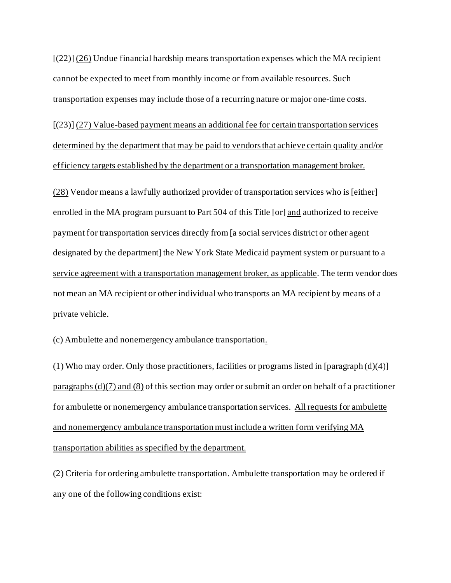$[(22)]$  (26) Undue financial hardship means transportation expenses which the MA recipient cannot be expected to meet from monthly income or from available resources. Such transportation expenses may include those of a recurring nature or major one-time costs.

efficiency targets established by the department or a transportation management broker. [(23)] (27) Value-based payment means an additional fee for certain transportation services determined by the department that may be paid to vendors that achieve certain quality and/or

efficiency targets established by the department or a transportation management broker.<br>(28) Vendor means a lawfully authorized provider of transportation services who is [either] enrolled in the MA program pursuant to Part 504 of this Title [or] and authorized to receive payment for transportation services directly from [a social services district or other agent designated by the department] the New York State Medicaid payment system or pursuant to a service agreement with a transportation management broker, as applicable. The term vendor does not mean an MA recipient or other individual who transports an MA recipient by means of a private vehicle.

(c) Ambulette and nonemergency ambulance transportation.

for ambulette or nonemergency ambulance transportation services. All requests for ambulette transportation abilities as specified by the department. (1) Who may order. Only those practitioners, facilities or programs listed in [paragraph  $(d)(4)$ ] paragraphs (d)(7) and (8) of this section may order or submit an order on behalf of a practitioner and nonemergency ambulance transportation must include a written form verifying MA

(2) Criteria for ordering ambulette transportation. Ambulette transportation may be ordered if any one of the following conditions exist: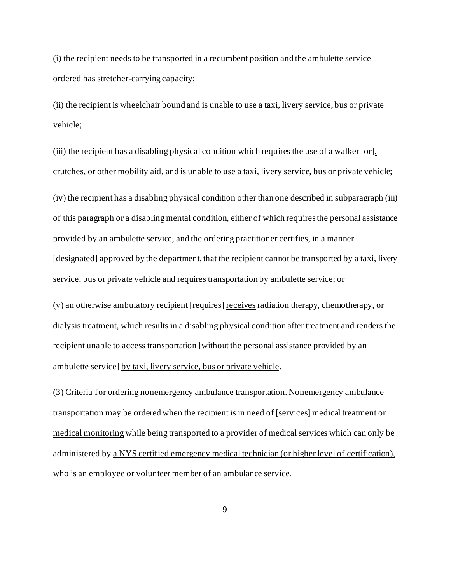(i) the recipient needs to be transported in a recumbent position and the ambulette service ordered has stretcher-carrying capacity;

(ii) the recipient is wheelchair bound and is unable to use a taxi, livery service, bus or private vehicle;

(iii) the recipient has a disabling physical condition which requires the use of a walker [or], crutches, or other mobility aid, and is unable to use a taxi, livery service, bus or private vehicle;

(iv) the recipient has a disabling physical condition other than one described in subparagraph (iii) of this paragraph or a disabling mental condition, either of which requires the personal assistance provided by an ambulette service, and the ordering practitioner certifies, in a manner [designated] approved by the department, that the recipient cannot be transported by a taxi, livery service, bus or private vehicle and requires transportation by ambulette service; or

(v) an otherwise ambulatory recipient [requires] receives radiation therapy, chemotherapy, or dialysis treatment, which results in a disabling physical condition after treatment and renders the recipient unable to access transportation [without the personal assistance provided by an ambulette service] by taxi, livery service, bus or private vehicle.

administered by a NYS certified emergency medical technician (or higher level of certification), who is an employee or volunteer member of an ambulance service. (3) Criteria for ordering nonemergency ambulance transportation. Nonemergency ambulance transportation may be ordered when the recipient is in need of [services] medical treatment or medical monitoring while being transported to a provider of medical services which can only be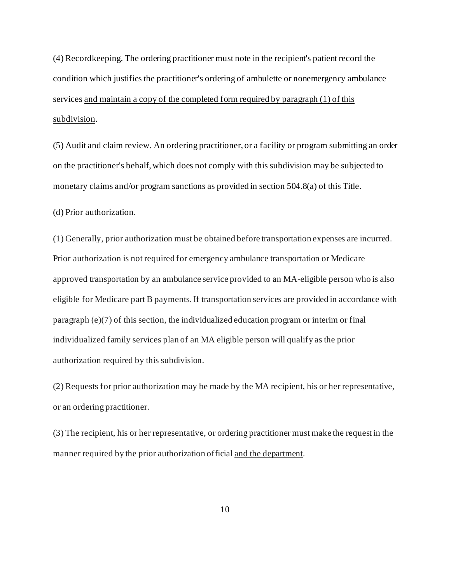(4) Recordkeeping. The ordering practitioner must note in the recipient's patient record the condition which justifies the practitioner's ordering of ambulette or nonemergency ambulance services and maintain a copy of the completed form required by paragraph (1) of this subdivision.

(5) Audit and claim review. An ordering practitioner, or a facility or program submitting an order on the practitioner's behalf, which does not comply with this subdivision may be subjected to monetary claims and/or program sanctions as provided in section 504.8(a) of this Title.

(d) Prior authorization.

 $(1)$  Generally, prior authorization must be obtained before transportation expenses are incurred. Prior authorization is not required for emergency ambulance transportation or Medicare approved transportation by an ambulance service provided to an MA-eligible person who is also eligible for Medicare part B payments. If transportation services are provided in accordance with paragraph (e)(7) of this section, the individualized education program or interim or final individualized family services plan of an MA eligible person will qualify as the prior authorization required by this subdivision.

(2) Requests for prior authorization may be made by the MA recipient, his or her representative, or an ordering practitioner.

(3) The recipient, his or her representative, or ordering practitioner must make the request in the manner required by the prior authorization official and the department.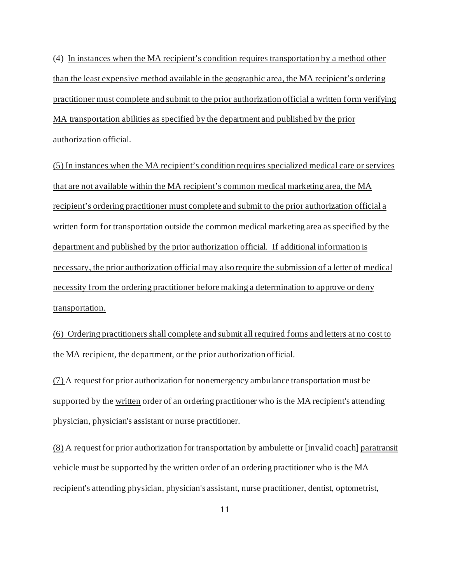MA transportation abilities as specified by the department and published by the prior (4) In instances when the MA recipient's condition requires transportation by a method other than the least expensive method available in the geographic area, the MA recipient's ordering practitioner must complete and submit to the prior authorization official a written form verifying authorization official.

 department and published by the prior authorization official. If additional information is transportation. (5) In instances when the MA recipient's condition requires specialized medical care or services that are not available within the MA recipient's common medical marketing area, the MA recipient's ordering practitioner must complete and submit to the prior authorization official a written form for transportation outside the common medical marketing area as specified by the necessary, the prior authorization official may also require the submission of a letter of medical necessity from the ordering practitioner before making a determination to approve or deny

 $(6)$  Ordering practitioners shall complete and submit all required forms and letters at no cost to the MA recipient, the department, or the prior authorization official.

supported by the written order of an ordering practitioner who is the MA recipient's attending (7) A request for prior authorization for nonemergency ambulance transportation must be physician, physician's assistant or nurse practitioner.

(8) A request for prior authorization for transportation by ambulette or [invalid coach] paratransit vehicle must be supported by the written order of an ordering practitioner who is the MA recipient's attending physician, physician's assistant, nurse practitioner, dentist, optometrist,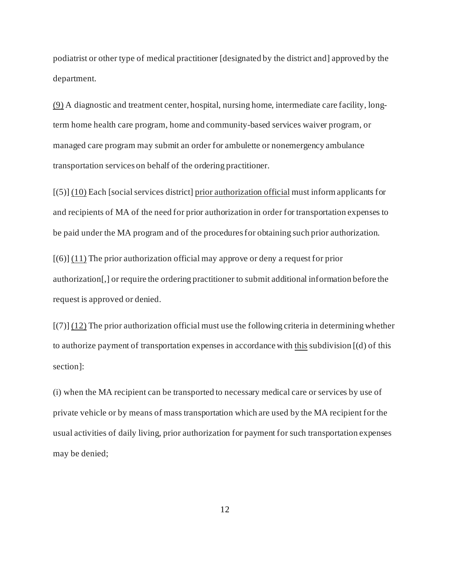podiatrist or other type of medical practitioner [designated by the district and] approved by the department.

(9) A diagnostic and treatment center, hospital, nursing home, intermediate care facility, longterm home health care program, home and community-based services waiver program, or managed care program may submit an order for ambulette or nonemergency ambulance transportation services on behalf of the ordering practitioner.

[(5)] (10) Each [social services district] prior authorization official must inform applicants for and recipients of MA of the need for prior authorization in order for transportation expenses to be paid under the MA program and of the procedures for obtaining such prior authorization.

 $[(6)]$  (11) The prior authorization official may approve or deny a request for prior authorization[,] or require the ordering practitioner to submit additional information before the request is approved or denied.

 $\left[ (7) \right] (12)$  The prior authorization official must use the following criteria in determining whether to authorize payment of transportation expenses in accordance with this subdivision [(d) of this section]:

(i) when the MA recipient can be transported to necessary medical care or services by use of private vehicle or by means of mass transportation which are used by the MA recipient for the usual activities of daily living, prior authorization for payment for such transportation expenses may be denied;

12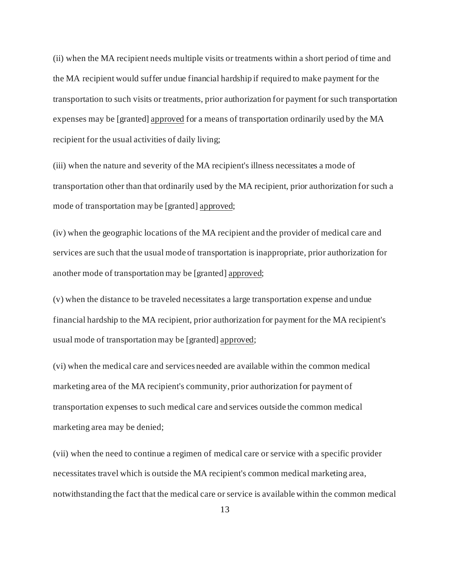expenses may be [granted] approved for a means of transportation ordinarily used by the MA (ii) when the MA recipient needs multiple visits or treatments within a short period of time and the MA recipient would suffer undue financial hardship if required to make payment for the transportation to such visits or treatments, prior authorization for payment for such transportation recipient for the usual activities of daily living;

(iii) when the nature and severity of the MA recipient's illness necessitates a mode of transportation other than that ordinarily used by the MA recipient, prior authorization for such a mode of transportation may be [granted] approved;

(iv) when the geographic locations of the MA recipient and the provider of medical care and services are such that the usual mode of transportation is inappropriate, prior authorization for another mode of transportation may be [granted] approved;

(v) when the distance to be traveled necessitates a large transportation expense and undue financial hardship to the MA recipient, prior authorization for payment for the MA recipient's usual mode of transportation may be [granted] approved;

(vi) when the medical care and services needed are available within the common medical marketing area of the MA recipient's community, prior authorization for payment of transportation expenses to such medical care and services outside the common medical marketing area may be denied;

(vii) when the need to continue a regimen of medical care or service with a specific provider necessitates travel which is outside the MA recipient's common medical marketing area, notwithstanding the fact that the medical care or service is available within the common medical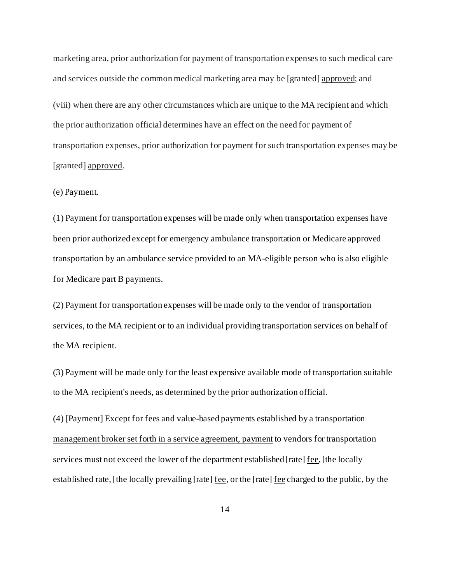marketing area, prior authorization for payment of transportation expenses to such medical care and services outside the common medical marketing area may be [granted] approved; and

(viii) when there are any other circumstances which are unique to the MA recipient and which the prior authorization official determines have an effect on the need for payment of transportation expenses, prior authorization for payment for such transportation expenses may be [granted] approved.

#### (e) Payment.

(1) Payment for transportation expenses will be made only when transportation expenses have been prior authorized except for emergency ambulance transportation or Medicare approved transportation by an ambulance service provided to an MA-eligible person who is also eligible for Medicare part B payments.

(2) Payment for transportation expenses will be made only to the vendor of transportation services, to the MA recipient or to an individual providing transportation services on behalf of the MA recipient.

(3) Payment will be made only for the least expensive available mode of transportation suitable to the MA recipient's needs, as determined by the prior authorization official.

(4) [Payment] Except for fees and value-based payments established by a transportation management broker set forth in a service agreement, payment to vendors for transportation services must not exceed the lower of the department established [rate] fee, [the locally established rate,] the locally prevailing [rate] <u>fee</u>, or the [rate] <u>fee</u> charged to the public, by the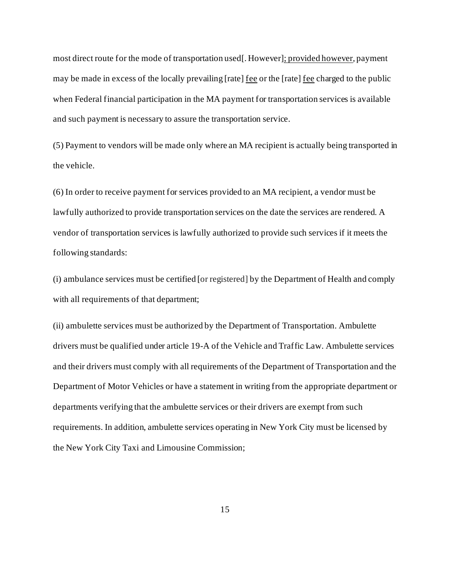most direct route for the mode of transportation used[. However]; provided however, payment may be made in excess of the locally prevailing [rate] fee or the [rate] fee charged to the public when Federal financial participation in the MA payment for transportation services is available and such payment is necessary to assure the transportation service.

(5) Payment to vendors will be made only where an MA recipient is actually being transported in the vehicle.

(6) In order to receive payment for services provided to an MA recipient, a vendor must be lawfully authorized to provide transportation services on the date the services are rendered. A vendor of transportation services is lawfully authorized to provide such services if it meets the following standards:

(i) ambulance services must be certified [or registered] by the Department of Health and comply with all requirements of that department;

(ii) ambulette services must be authorized by the Department of Transportation. Ambulette drivers must be qualified under article 19-A of the Vehicle and Traffic Law. Ambulette services and their drivers must comply with all requirements of the Department of Transportation and the Department of Motor Vehicles or have a statement in writing from the appropriate department or departments verifying that the ambulette services or their drivers are exempt from such requirements. In addition, ambulette services operating in New York City must be licensed by the New York City Taxi and Limousine Commission;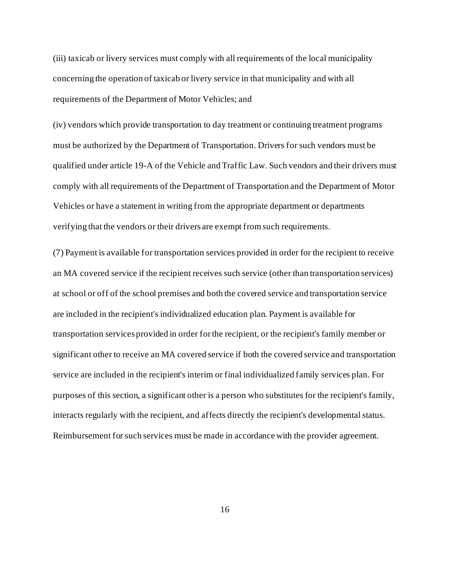(iii) taxicab or livery services must comply with all requirements of the local municipality concerning the operation of taxicab or livery service in that municipality and with all requirements of the Department of Motor Vehicles; and

(iv) vendors which provide transportation to day treatment or continuing treatment programs must be authorized by the Department of Transportation. Drivers for such vendors must be qualified under article 19-A of the Vehicle and Traffic Law. Such vendors and their drivers must comply with all requirements of the Department of Transportation and the Department of Motor Vehicles or have a statement in writing from the appropriate department or departments verifying that the vendors or their drivers are exempt from such requirements.

(7) Payment is available for transportation services provided in order for the recipient to receive an MA covered service if the recipient receives such service (other than transportation services) at school or off of the school premises and both the covered service and transportation service are included in the recipient's individualized education plan. Payment is available for transportation services provided in order for the recipient, or the recipient's family member or significant other to receive an MA covered service if both the covered service and transportation service are included in the recipient's interim or final individualized family services plan. For purposes of this section, a significant other is a person who substitutes for the recipient's family, interacts regularly with the recipient, and affects directly the recipient's developmental status. Reimbursement for such services must be made in accordance with the provider agreement.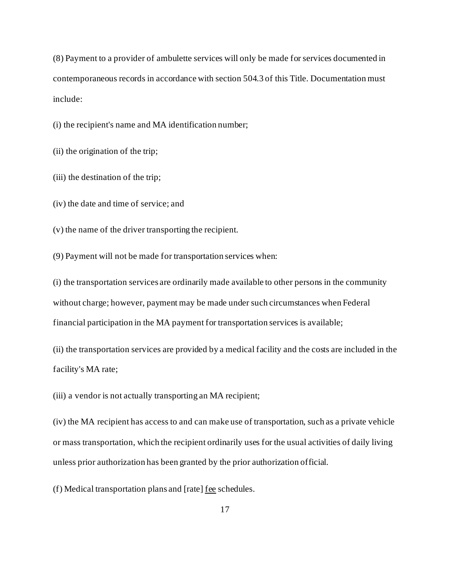(8) Payment to a provider of ambulette services will only be made for services documented in contemporaneous records in accordance with section 504.3 of this Title. Documentation must include:

(i) the recipient's name and MA identification number;

(ii) the origination of the trip;

(iii) the destination of the trip;

(iv) the date and time of service; and

(v) the name of the driver transporting the recipient.

(9) Payment will not be made for transportation services when:

(i) the transportation services are ordinarily made available to other persons in the community without charge; however, payment may be made under such circumstances when Federal financial participation in the MA payment for transportation services is available;

(ii) the transportation services are provided by a medical facility and the costs are included in the facility's MA rate;

(iii) a vendor is not actually transporting an MA recipient;

(iv) the MA recipient has access to and can make use of transportation, such as a private vehicle or mass transportation, which the recipient ordinarily uses for the usual activities of daily living unless prior authorization has been granted by the prior authorization official.

(f) Medical transportation plans and [rate] fee schedules.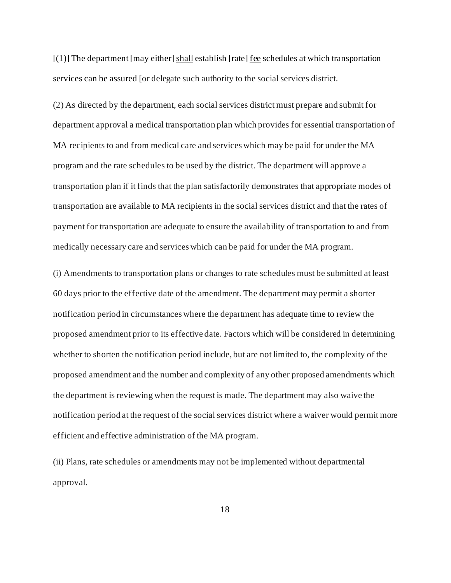[(1)] The department [may either] shall establish [rate] fee schedules at which transportation services can be assured [or delegate such authority to the social services district.

(2) As directed by the department, each social services district must prepare and submit for department approval a medical transportation plan which provides for essential transportation of MA recipients to and from medical care and services which may be paid for under the MA program and the rate schedules to be used by the district. The department will approve a transportation plan if it finds that the plan satisfactorily demonstrates that appropriate modes of transportation are available to MA recipients in the social services district and that the rates of payment for transportation are adequate to ensure the availability of transportation to and from medically necessary care and services which can be paid for under the MA program.

(i) Amendments to transportation plans or changes to rate schedules must be submitted at least 60 days prior to the effective date of the amendment. The department may permit a shorter notification period in circumstances where the department has adequate time to review the proposed amendment prior to its effective date. Factors which will be considered in determining whether to shorten the notification period include, but are not limited to, the complexity of the proposed amendment and the number and complexity of any other proposed amendments which the department is reviewing when the request is made. The department may also waive the notification period at the request of the social services district where a waiver would permit more efficient and effective administration of the MA program.

(ii) Plans, rate schedules or amendments may not be implemented without departmental approval.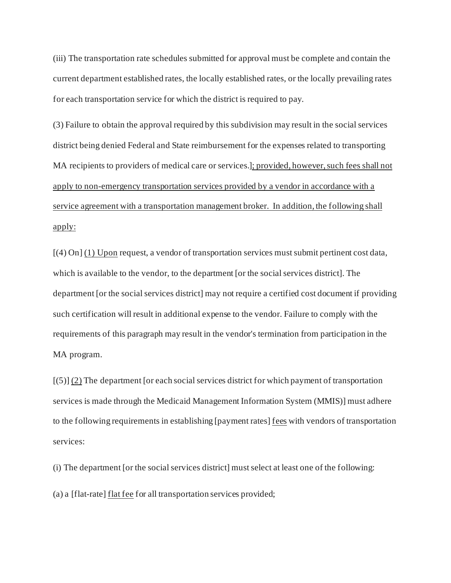(iii) The transportation rate schedules submitted for approval must be complete and contain the current department established rates, the locally established rates, or the locally prevailing rates for each transportation service for which the district is required to pay.

(3) Failure to obtain the approval required by this subdivision may result in the social services district being denied Federal and State reimbursement for the expenses related to transporting MA recipients to providers of medical care or services.]; provided, however, such fees shall not apply to non-emergency transportation services provided by a vendor in accordance with a service agreement with a transportation management broker. In addition, the following shall apply:

[(4) On] (1) Upon request, a vendor of transportation services must submit pertinent cost data, which is available to the vendor, to the department [or the social services district]. The department [or the social services district] may not require a certified cost document if providing such certification will result in additional expense to the vendor. Failure to comply with the requirements of this paragraph may result in the vendor's termination from participation in the MA program.

[(5)] (2) The department [or each social services district for which payment of transportation services is made through the Medicaid Management Information System (MMIS)] must adhere to the following requirements in establishing [payment rates] fees with vendors of transportation services:

(i) The department [or the social services district] must select at least one of the following: (a) a [flat-rate] flat fee for all transportation services provided;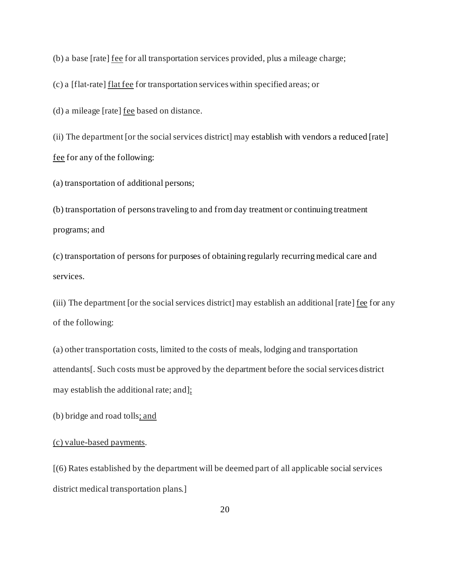(b) a base [rate] fee for all transportation services provided, plus a mileage charge;

(c) a [flat-rate] flat fee for transportation services within specified areas; or

(d) a mileage [rate] fee based on distance.

(ii) The department [or the social services district] may establish with vendors a reduced [rate] fee for any of the following:

(a) transportation of additional persons;

(b) transportation of persons traveling to and from day treatment or continuing treatment programs; and

(c) transportation of persons for purposes of obtaining regularly recurring medical care and services.

(iii) The department [or the social services district] may establish an additional [rate] fee for any of the following:

(a) other transportation costs, limited to the costs of meals, lodging and transportation attendants[. Such costs must be approved by the department before the social services district may establish the additional rate; and];

(b) bridge and road tolls; and

### (c) value-based payments.

[(6) Rates established by the department will be deemed part of all applicable social services district medical transportation plans.]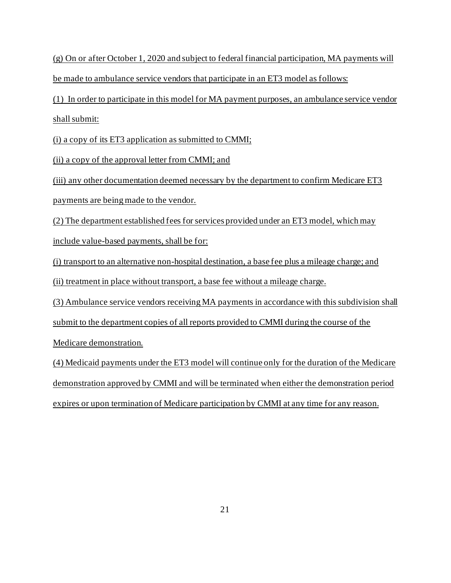(g) On or after October 1, 2020 and subject to federal financial participation, MA payments will be made to ambulance service vendors that participate in an ET3 model as follows:

 (1) In order to participate in this model for MA payment purposes, an ambulance service vendor shall submit:

(i) a copy of its ET3 application as submitted to CMMI;

(ii) a copy of the approval letter from CMMI; and

(iii) any other documentation deemed necessary by the department to confirm Medicare ET3 payments are being made to the vendor.

 include value-based payments, shall be for: (2) The department established fees for services provided under an ET3 model, which may

(i) transport to an alternative non-hospital destination, a base fee plus a mileage charge; and

(ii) treatment in place without transport, a base fee without a mileage charge.

(3) Ambulance service vendors receiving MA payments in accordance with this subdivision shall submit to the department copies of all reports provided to CMMI during the course of the

Medicare demonstration.

expires or upon termination of Medicare participation by CMMI at any time for any reason. (4) Medicaid payments under the ET3 model will continue only for the duration of the Medicare demonstration approved by CMMI and will be terminated when either the demonstration period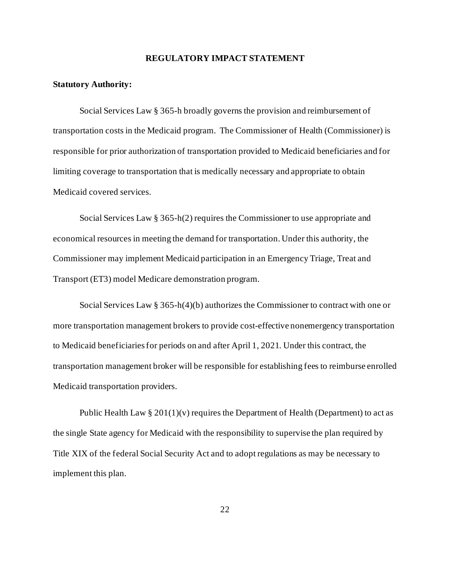#### **REGULATORY IMPACT STATEMENT**

#### **Statutory Authority:**

 transportation costs in the Medicaid program. The Commissioner of Health (Commissioner) is responsible for prior authorization of transportation provided to Medicaid beneficiaries and for Social Services Law § 365-h broadly governs the provision and reimbursement of limiting coverage to transportation that is medically necessary and appropriate to obtain Medicaid covered services.

Social Services Law § 365-h(2) requires the Commissioner to use appropriate and economical resources in meeting the demand for transportation. Under this authority, the Commissioner may implement Medicaid participation in an Emergency Triage, Treat and Transport (ET3) model Medicare demonstration program.

Social Services Law  $\S 365-h(4)(b)$  authorizes the Commissioner to contract with one or more transportation management brokers to provide cost-effective nonemergency transportation to Medicaid beneficiaries for periods on and after April 1, 2021. Under this contract, the transportation management broker will be responsible for establishing fees to reimburse enrolled Medicaid transportation providers.

Public Health Law  $\S 201(1)(v)$  requires the Department of Health (Department) to act as the single State agency for Medicaid with the responsibility to supervise the plan required by Title XIX of the federal Social Security Act and to adopt regulations as may be necessary to implement this plan.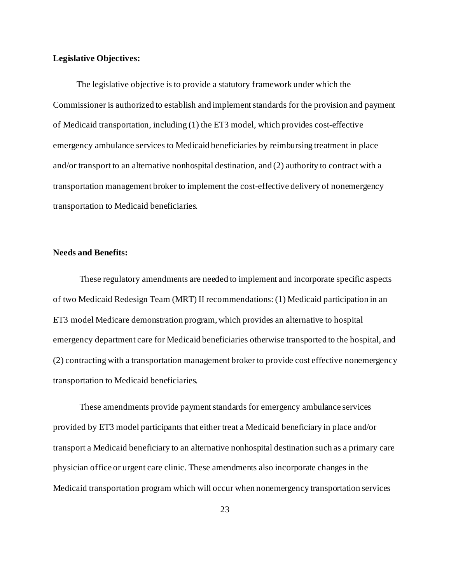### **Legislative Objectives:**

The legislative objective is to provide a statutory framework under which the Commissioner is authorized to establish and implement standards for the provision and payment of Medicaid transportation, including (1) the ET3 model, which provides cost-effective emergency ambulance services to Medicaid beneficiaries by reimbursing treatment in place and/or transport to an alternative nonhospital destination, and (2) authority to contract with a transportation management broker to implement the cost-effective delivery of nonemergency transportation to Medicaid beneficiaries.

#### **Needs and Benefits:**

These regulatory amendments are needed to implement and incorporate specific aspects of two Medicaid Redesign Team (MRT) II recommendations: (1) Medicaid participation in an ET3 model Medicare demonstration program, which provides an alternative to hospital emergency department care for Medicaid beneficiaries otherwise transported to the hospital, and (2) contracting with a transportation management broker to provide cost effective nonemergency transportation to Medicaid beneficiaries.

 provided by ET3 model participants that either treat a Medicaid beneficiary in place and/or These amendments provide payment standards for emergency ambulance services transport a Medicaid beneficiary to an alternative nonhospital destination such as a primary care physician office or urgent care clinic. These amendments also incorporate changes in the Medicaid transportation program which will occur when nonemergency transportation services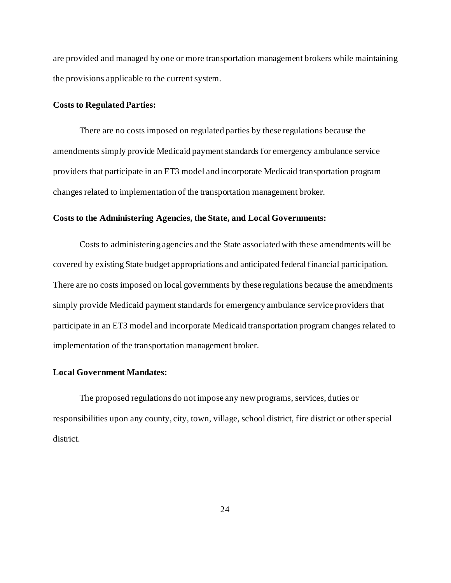are provided and managed by one or more transportation management brokers while maintaining the provisions applicable to the current system.

#### **Costs to Regulated Parties:**

 changes related to implementation of the transportation management broker. There are no costs imposed on regulated parties by these regulations because the amendments simply provide Medicaid payment standards for emergency ambulance service providers that participate in an ET3 model and incorporate Medicaid transportation program

#### **Costs to the Administering Agencies, the State, and Local Governments:**

 implementation of the transportation management broker. Costs to administering agencies and the State associated with these amendments will be covered by existing State budget appropriations and anticipated federal financial participation. There are no costs imposed on local governments by these regulations because the amendments simply provide Medicaid payment standards for emergency ambulance service providers that participate in an ET3 model and incorporate Medicaid transportation program changes related to

#### **Local Government Mandates:**

 The proposed regulations do not impose any new programs, services, duties or responsibilities upon any county, city, town, village, school district, fire district or other special district.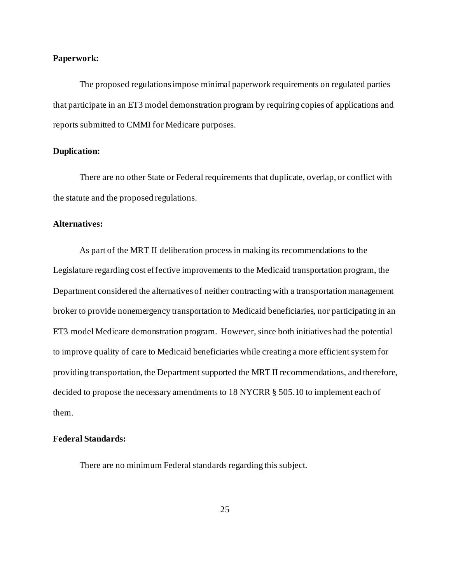#### **Paperwork:**

The proposed regulationsimpose minimal paperwork requirements on regulated parties that participate in an ET3 model demonstration program by requiring copies of applications and reports submitted to CMMI for Medicare purposes.

#### **Duplication:**

 the statute and the proposed regulations. There are no other State or Federal requirements that duplicate, overlap, or conflict with

#### **Alternatives:**

 As part of the MRT II deliberation process in making its recommendations to the ET3 model Medicare demonstration program. However, since both initiatives had the potential Legislature regarding cost effective improvements to the Medicaid transportation program, the Department considered the alternatives of neither contracting with a transportation management broker to provide nonemergency transportation to Medicaid beneficiaries, nor participating in an to improve quality of care to Medicaid beneficiaries while creating a more efficient system for providing transportation, the Department supported the MRT II recommendations, and therefore, decided to propose the necessary amendments to 18 NYCRR § 505.10 to implement each of them.

#### **Federal Standards:**

There are no minimum Federal standards regarding this subject.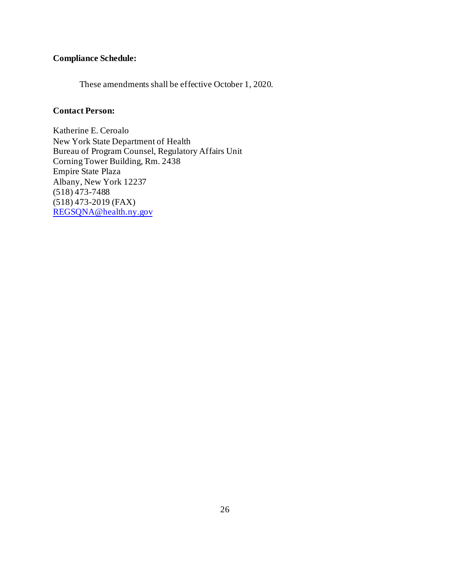# **Compliance Schedule:**

These amendments shall be effective October 1, 2020.

# **Contact Person:**

Katherine E. Ceroalo New York State Department of Health Bureau of Program Counsel, Regulatory Affairs Unit Corning Tower Building, Rm. 2438 Empire State Plaza Albany, New York 12237 (518) 473-7488 (518) 473-2019 (FAX) [REGSQNA@health.ny.gov](mailto:REGSQNA@health.ny.gov)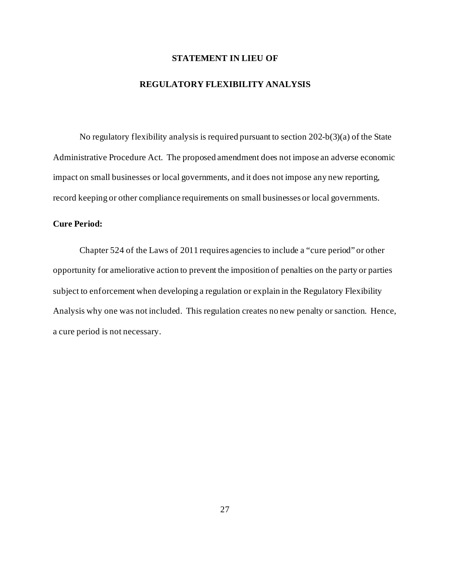## **STATEMENT IN LIEU OF**

#### **REGULATORY FLEXIBILITY ANALYSIS**

 impact on small businesses or local governments, and it does not impose any new reporting, No regulatory flexibility analysis is required pursuant to section 202-b(3)(a) of the State Administrative Procedure Act. The proposed amendment does not impose an adverse economic record keeping or other compliance requirements on small businesses or local governments.

## **Cure Period:**

Chapter 524 of the Laws of 2011 requires agencies to include a "cure period" or other opportunity for ameliorative action to prevent the imposition of penalties on the party or parties subject to enforcement when developing a regulation or explain in the Regulatory Flexibility Analysis why one was not included. This regulation creates no new penalty or sanction. Hence, a cure period is not necessary.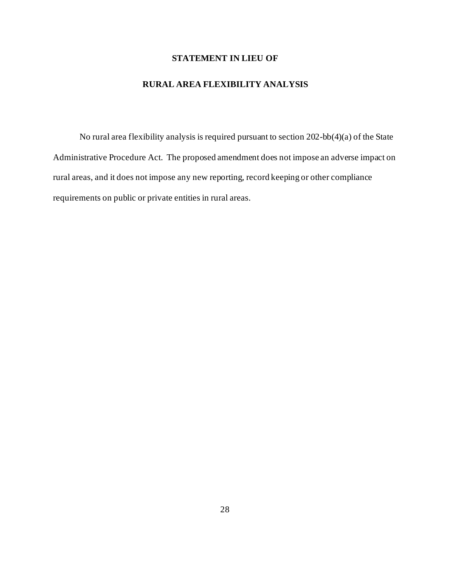# **STATEMENT IN LIEU OF**

# **RURAL AREA FLEXIBILITY ANALYSIS**

 rural areas, and it does not impose any new reporting, record keeping or other compliance No rural area flexibility analysis is required pursuant to section 202-bb(4)(a) of the State Administrative Procedure Act. The proposed amendment does not impose an adverse impact on requirements on public or private entities in rural areas.